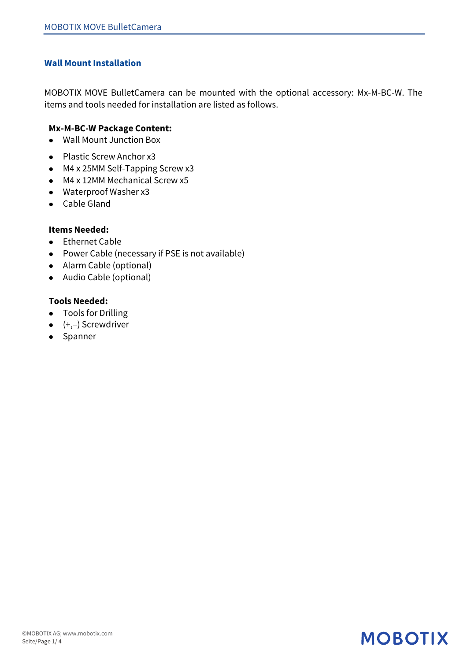### **Wall Mount Installation**

MOBOTIX MOVE BulletCamera can be mounted with the optional accessory: Mx-M-BC-W. The items and tools needed for installation are listed as follows.

### **Mx-M-BC-W Package Content:**

- Wall Mount Junction Box
- $\bullet$  Plastic Screw Anchor x3
- $\bullet$  M4 x 25MM Self-Tapping Screw x3
- $\bullet$  M4 x 12MM Mechanical Screw x5
- Waterproof Washer x3
- Cable Gland

#### **Items Needed:**

- Ethernet Cable
- Power Cable (necessary if PSE is not available)
- Alarm Cable (optional)
- Audio Cable (optional)

### **Tools Needed:**

- Tools for Drilling
- $\bullet$  (+,-) Screwdriver
- Spanner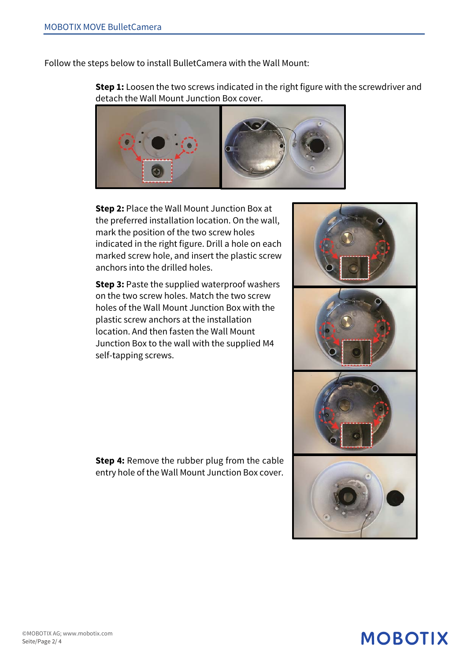Follow the steps below to install BulletCamera with the Wall Mount:

**Step 1:** Loosen the two screws indicated in the right figure with the screwdriver and detach the Wall Mount Junction Box cover.



**Step 2:** Place the Wall Mount Junction Box at the preferred installation location. On the wall, mark the position of the two screw holes indicated in the right figure. Drill a hole on each marked screw hole, and insert the plastic screw anchors into the drilled holes.

**Step 3: Paste the supplied waterproof washers** on the two screw holes. Match the two screw holes of the Wall Mount Junction Box with the plastic screw anchors at the installation location. And then fasten the Wall Mount Junction Box to the wall with the supplied M4 self-tapping screws.

**Step 4:** Remove the rubber plug from the cable entry hole of the Wall Mount Junction Box cover.

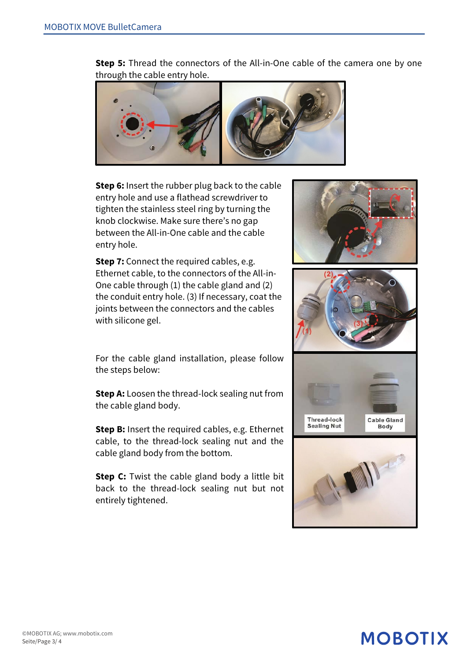**Step 5:** Thread the connectors of the All-in-One cable of the camera one by one through the cable entry hole.



**Step 6:** Insert the rubber plug back to the cable entry hole and use a flathead screwdriver to tighten the stainless steel ring by turning the knob clockwise. Make sure there's no gap between the All-in-One cable and the cable entry hole.

**Step 7:** Connect the required cables, e.g. Ethernet cable, to the connectors of the All-in-One cable through (1) the cable gland and (2) the conduit entry hole. (3) If necessary, coat the joints between the connectors and the cables with silicone gel.

For the cable gland installation, please follow the steps below:

**Step A:** Loosen the thread-lock sealing nut from the cable gland body.

**Step B:** Insert the required cables, e.g. Ethernet cable, to the thread-lock sealing nut and the cable gland body from the bottom.

**Step C:** Twist the cable gland body a little bit back to the thread-lock sealing nut but not entirely tightened.









#### ©MOBOTIX AG; www.mobotix.com Seite/Page 3/ 4